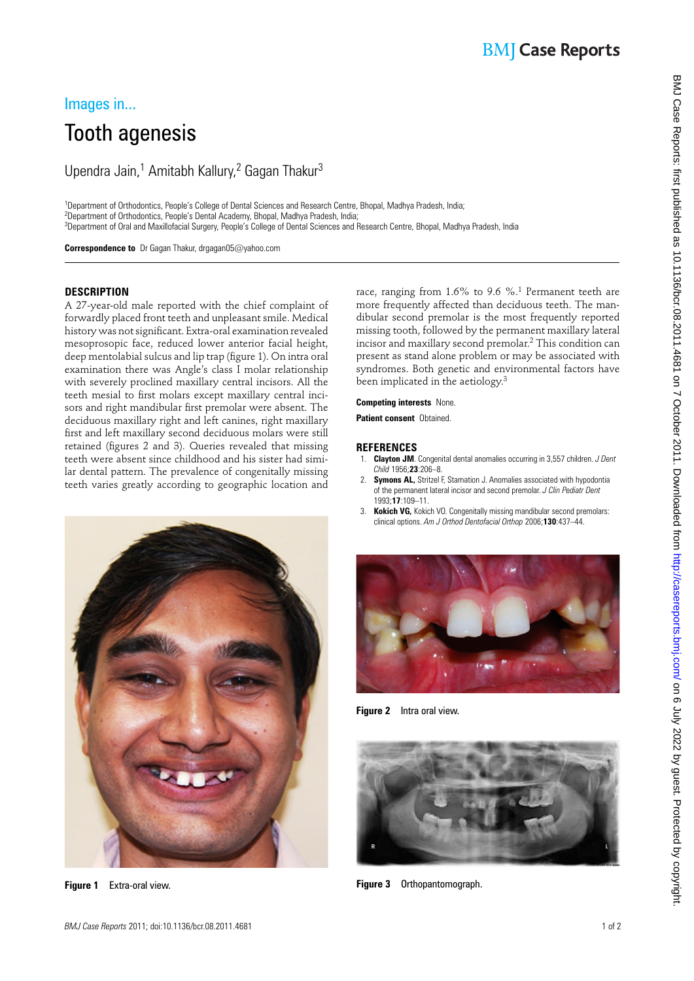# **BMJ** Case Reports

### Images in...

# Tooth agenesis

Upendra Jain,<sup>1</sup> Amitabh Kallury,<sup>2</sup> Gagan Thakur<sup>3</sup>

<sup>1</sup>Department of Orthodontics, People's College of Dental Sciences and Research Centre, Bhopal, Madhya Pradesh, India; <sup>2</sup>Department of Orthodontics, People's Dental Academy, Bhopal, Madhya Pradesh, India; 3 Department of Oral and Maxillofacial Surgery, People's College of Dental Sciences and Research Centre, Bhopal, Madhya Pradesh, India

 **Correspondence to** Dr Gagan Thakur, drgagan05@yahoo.com

#### **DESCRIPTION**

A 27-year-old male reported with the chief complaint of forwardly placed front teeth and unpleasant smile. Medical history was not significant. Extra-oral examination revealed mesoprosopic face, reduced lower anterior facial height, deep mentolabial sulcus and lip trap (figure 1). On intra oral examination there was Angle's class I molar relationship with severely proclined maxillary central incisors. All the teeth mesial to first molars except maxillary central incisors and right mandibular first premolar were absent. The deciduous maxillary right and left canines, right maxillary first and left maxillary second deciduous molars were still retained (figures 2 and 3). Queries revealed that missing teeth were absent since childhood and his sister had similar dental pattern. The prevalence of congenitally missing teeth varies greatly according to geographic location and



 **Figure 1** Extra-oral view.

race, ranging from 1.6% to 9.6 %. 1 Permanent teeth are more frequently affected than deciduous teeth. The mandibular second premolar is the most frequently reported missing tooth, followed by the permanent maxillary lateral incisor and maxillary second premolar.<sup>2</sup> This condition can present as stand alone problem or may be associated with syndromes. Both genetic and environmental factors have been implicated in the aetiology.<sup>3</sup>

#### **Competing interests** None.

**Patient consent** Obtained.

#### **REFERENCES**

- 1. **Clayton JM** . Congenital dental anomalies occurring in 3,557 children . *J Dent Child* 1956 ; **23** : 206 – 8 .
- 2. **Symons AL,** Stritzel F, Stamation J. Anomalies associated with hypodontia of the permanent lateral incisor and second premolar. *J Clin Pediatr Dent* 1993 ; **17** : 109 – 11 .
- 3. **Kokich VG,** Kokich VO. Congenitally missing mandibular second premolars: clinical options. Am J Orthod Dentofacial Orthop 2006;130:437-44.



 **Figure 2** Intra oral view.



 **Figure 3** Orthopantomograph.